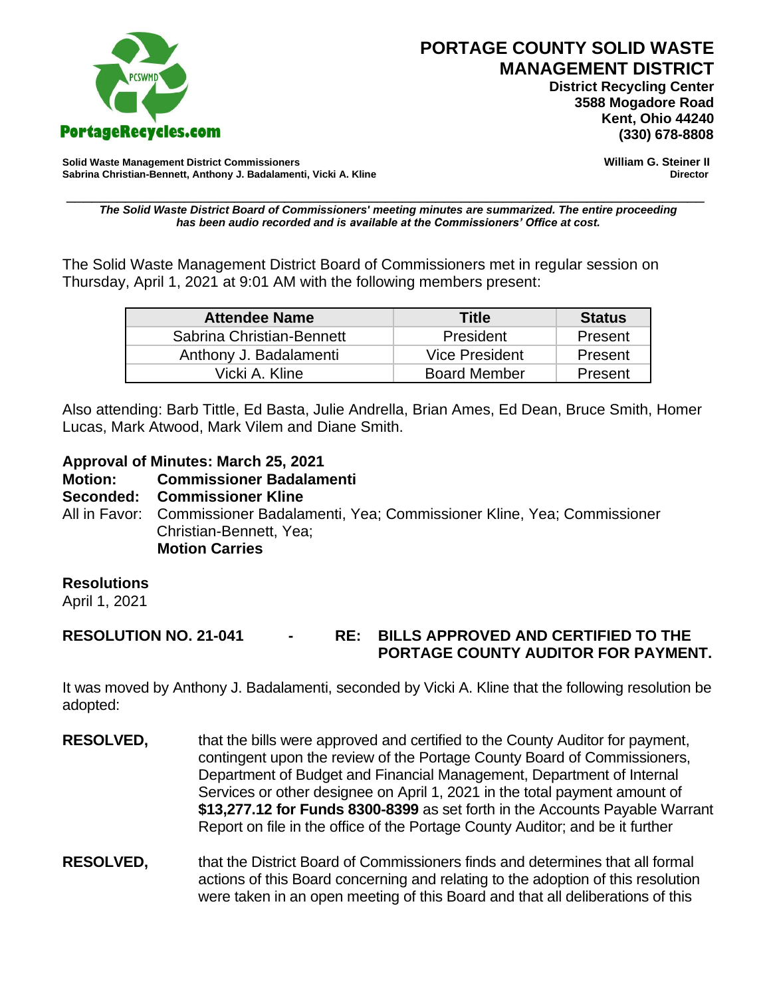

 **District Recycling Center 3588 Mogadore Road Kent, Ohio 44240**

**Solid Waste Management District Commissioners William G. Steiner II** Sabrina Christian-Bennett, Anthony J. Badalamenti, Vicki A. Kline

\_\_\_\_\_\_\_\_\_\_\_\_\_\_\_\_\_\_\_\_\_\_\_\_\_\_\_\_\_\_\_\_\_\_\_\_\_\_\_\_\_\_\_\_\_\_\_\_\_\_\_\_\_\_\_\_\_\_\_\_\_\_\_\_\_\_\_\_\_\_\_\_\_\_\_\_ *The Solid Waste District Board of Commissioners' meeting minutes are summarized. The entire proceeding has been audio recorded and is available at the Commissioners' Office at cost.*

The Solid Waste Management District Board of Commissioners met in regular session on Thursday, April 1, 2021 at 9:01 AM with the following members present:

| <b>Attendee Name</b>      | <b>Title</b>          | <b>Status</b> |
|---------------------------|-----------------------|---------------|
| Sabrina Christian-Bennett | President             | Present       |
| Anthony J. Badalamenti    | <b>Vice President</b> | Present       |
| Vicki A. Kline            | <b>Board Member</b>   | Present       |

Also attending: Barb Tittle, Ed Basta, Julie Andrella, Brian Ames, Ed Dean, Bruce Smith, Homer Lucas, Mark Atwood, Mark Vilem and Diane Smith.

## **Approval of Minutes: March 25, 2021**

**Motion: Commissioner Badalamenti Seconded: Commissioner Kline** All in Favor: Commissioner Badalamenti, Yea; Commissioner Kline, Yea; Commissioner Christian-Bennett, Yea; **Motion Carries**

## **Resolutions**

April 1, 2021

**RESOLUTION NO. 21-041 - RE: BILLS APPROVED AND CERTIFIED TO THE PORTAGE COUNTY AUDITOR FOR PAYMENT.** 

It was moved by Anthony J. Badalamenti, seconded by Vicki A. Kline that the following resolution be adopted:

- **RESOLVED,** that the bills were approved and certified to the County Auditor for payment, contingent upon the review of the Portage County Board of Commissioners, Department of Budget and Financial Management, Department of Internal Services or other designee on April 1, 2021 in the total payment amount of **\$13,277.12 for Funds 8300-8399** as set forth in the Accounts Payable Warrant Report on file in the office of the Portage County Auditor; and be it further
- **RESOLVED,** that the District Board of Commissioners finds and determines that all formal actions of this Board concerning and relating to the adoption of this resolution were taken in an open meeting of this Board and that all deliberations of this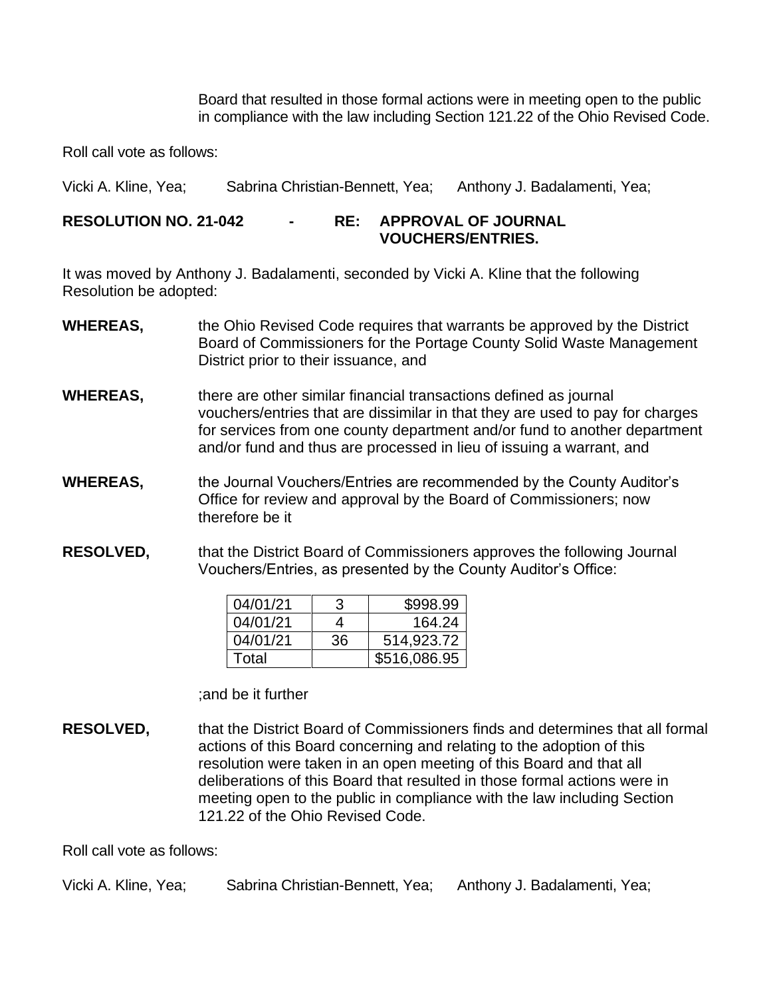Board that resulted in those formal actions were in meeting open to the public in compliance with the law including Section 121.22 of the Ohio Revised Code.

Roll call vote as follows:

Vicki A. Kline, Yea; Sabrina Christian-Bennett, Yea; Anthony J. Badalamenti, Yea;

## **RESOLUTION NO. 21-042 - RE: APPROVAL OF JOURNAL VOUCHERS/ENTRIES.**

It was moved by Anthony J. Badalamenti, seconded by Vicki A. Kline that the following Resolution be adopted:

- **WHEREAS,** the Ohio Revised Code requires that warrants be approved by the District Board of Commissioners for the Portage County Solid Waste Management District prior to their issuance, and
- **WHEREAS,** there are other similar financial transactions defined as journal vouchers/entries that are dissimilar in that they are used to pay for charges for services from one county department and/or fund to another department and/or fund and thus are processed in lieu of issuing a warrant, and
- **WHEREAS,** the Journal Vouchers/Entries are recommended by the County Auditor's Office for review and approval by the Board of Commissioners; now therefore be it
- **RESOLVED,** that the District Board of Commissioners approves the following Journal Vouchers/Entries, as presented by the County Auditor's Office:

| 04/01/21 | 3  | \$998.99     |
|----------|----|--------------|
| 04/01/21 | 4  | 164.24       |
| 04/01/21 | 36 | 514,923.72   |
| Total    |    | \$516,086.95 |

;and be it further

**RESOLVED,** that the District Board of Commissioners finds and determines that all formal actions of this Board concerning and relating to the adoption of this resolution were taken in an open meeting of this Board and that all deliberations of this Board that resulted in those formal actions were in meeting open to the public in compliance with the law including Section 121.22 of the Ohio Revised Code.

Roll call vote as follows:

Vicki A. Kline, Yea; Sabrina Christian-Bennett, Yea; Anthony J. Badalamenti, Yea;